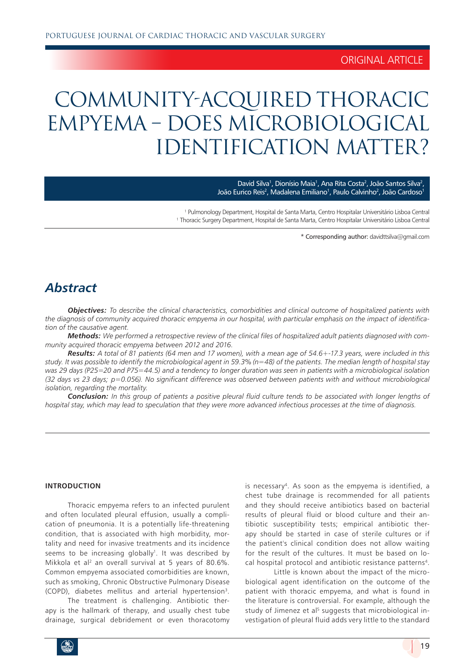### ORIGINAL ARTICLE

# COMMUNITY-ACQUIRED THORACIC EMPYEMA – DOES MICROBIOLOGICAL IDENTIFICATION MATTER?

David Silva<sup>1</sup>, Dionísio Maia<sup>1</sup>, Ana Rita Costa<sup>2</sup>, João Santos Silva<sup>2</sup>, João Eurico Reis<sup>2</sup>, Madalena Emiliano<sup>1</sup>, Paulo Calvinho<sup>2</sup>, João Cardoso<sup>1</sup>

1 Pulmonology Department, Hospital de Santa Marta, Centro Hospitalar Universitário Lisboa Central 1 <sup>1</sup> Thoracic Surgery Department, Hospital de Santa Marta, Centro Hospitalar Universitário Lisboa Central

\* Corresponding author: davidttsilva@gmail.com

## *Abstract*

*Objectives: To describe the clinical characteristics, comorbidities and clinical outcome of hospitalized patients with the diagnosis of community acquired thoracic empyema in our hospital, with particular emphasis on the impact of identification of the causative agent.*

*Methods: We performed a retrospective review of the clinical files of hospitalized adult patients diagnosed with community acquired thoracic empyema between 2012 and 2016.* 

*Results: A total of 81 patients (64 men and 17 women), with a mean age of 54.6+-17.3 years, were included in this study. It was possible to identify the microbiological agent in 59.3% (n=48) of the patients. The median length of hospital stay was 29 days (P25=20 and P75=44.5) and a tendency to longer duration was seen in patients with a microbiological isolation (32 days vs 23 days; p=0.056). No significant difference was observed between patients with and without microbiological isolation, regarding the mortality.*

*Conclusion: In this group of patients a positive pleural fluid culture tends to be associated with longer lengths of hospital stay, which may lead to speculation that they were more advanced infectious processes at the time of diagnosis.*

#### **INTRODUCTION**

Thoracic empyema refers to an infected purulent and often loculated pleural effusion, usually a complication of pneumonia. It is a potentially life-threatening condition, that is associated with high morbidity, mortality and need for invasive treatments and its incidence seems to be increasing globally<sup>1</sup>. It was described by Mikkola et al<sup>2</sup> an overall survival at 5 years of 80.6%. Common empyema associated comorbidities are known, such as smoking, Chronic Obstructive Pulmonary Disease (COPD), diabetes mellitus and arterial hypertension<sup>3</sup>.

The treatment is challenging. Antibiotic therapy is the hallmark of therapy, and usually chest tube drainage, surgical debridement or even thoracotomy is necessary4. As soon as the empyema is identified, a chest tube drainage is recommended for all patients and they should receive antibiotics based on bacterial results of pleural fluid or blood culture and their antibiotic susceptibility tests; empirical antibiotic therapy should be started in case of sterile cultures or if the patient's clinical condition does not allow waiting for the result of the cultures. It must be based on local hospital protocol and antibiotic resistance patterns<sup>4</sup>.

Little is known about the impact of the microbiological agent identification on the outcome of the patient with thoracic empyema, and what is found in the literature is controversial. For example, although the study of Jimenez et al<sup>5</sup> suggests that microbiological investigation of pleural fluid adds very little to the standard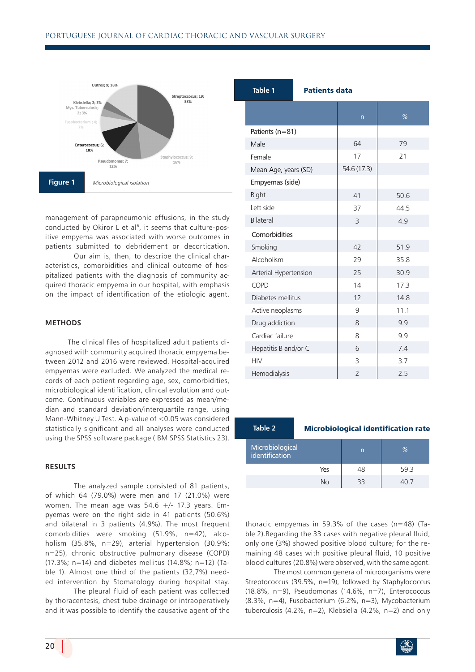

management of parapneumonic effusions, in the study conducted by Okiror L et al<sup>6</sup>, it seems that culture-positive empyema was associated with worse outcomes in patients submitted to debridement or decortication.

Our aim is, then, to describe the clinical characteristics, comorbidities and clinical outcome of hospitalized patients with the diagnosis of community acquired thoracic empyema in our hospital, with emphasis on the impact of identification of the etiologic agent.

#### **METHODS**

The clinical files of hospitalized adult patients diagnosed with community acquired thoracic empyema between 2012 and 2016 were reviewed. Hospital-acquired empyemas were excluded. We analyzed the medical records of each patient regarding age, sex, comorbidities, microbiological identification, clinical evolution and outcome. Continuous variables are expressed as mean/median and standard deviation/interquartile range, using Mann-Whitney U Test. A p-value of <0.05 was considered statistically significant and all analyses were conducted using the SPSS software package (IBM SPSS Statistics 23).

#### **RESULTS**

The analyzed sample consisted of 81 patients, of which 64 (79.0%) were men and 17 (21.0%) were women. The mean age was  $54.6$  +/- 17.3 years. Empyemas were on the right side in 41 patients (50.6%) and bilateral in 3 patients (4.9%). The most frequent comorbidities were smoking (51.9%, n=42), alcoholism (35.8%, n=29), arterial hypertension (30.9%; n=25), chronic obstructive pulmonary disease (COPD) (17.3%; n=14) and diabetes mellitus (14.8%; n=12) (Table 1). Almost one third of the patients (32,7%) needed intervention by Stomatology during hospital stay.

The pleural fluid of each patient was collected by thoracentesis, chest tube drainage or intraoperatively and it was possible to identify the causative agent of the

| Table 1               | <b>Patients data</b> |                |      |
|-----------------------|----------------------|----------------|------|
|                       |                      | n              | %    |
| Patients (n=81)       |                      |                |      |
| Male                  |                      | 64             | 79   |
| Female                |                      | 17             | 21   |
| Mean Age, years (SD)  |                      | 54.6 (17.3)    |      |
| Empyemas (side)       |                      |                |      |
| Right                 |                      | 41             | 50.6 |
| Left side             |                      | 37             | 44.5 |
| Bilateral             |                      | 3              | 4.9  |
| Comorbidities         |                      |                |      |
| Smoking               |                      | 42             | 51.9 |
| Alcoholism            |                      | 29             | 35.8 |
| Arterial Hypertension |                      | 25             | 30.9 |
| COPD                  |                      | 14             | 17.3 |
| Diabetes mellitus     |                      | 12             | 14.8 |
| Active neoplasms      |                      | 9              | 11.1 |
| Drug addiction        |                      | 8              | 9.9  |
| Cardiac failure       |                      | 8              | 9.9  |
| Hepatitis B and/or C  |                      | 6              | 7.4  |
| <b>HIV</b>            |                      | 3              | 3.7  |
| Hemodialysis          |                      | $\overline{2}$ | 2.5  |

#### **Table 2** Microbiological identification rate

| Microbiological<br>identification |     | n  | $\%$ |
|-----------------------------------|-----|----|------|
|                                   | Yes | 48 | 59.3 |
|                                   | N٥  | ココ |      |

thoracic empyemas in 59.3% of the cases (n=48) (Table 2).Regarding the 33 cases with negative pleural fluid, only one (3%) showed positive blood culture; for the remaining 48 cases with positive pleural fluid, 10 positive blood cultures (20.8%) were observed, with the same agent.

The most common genera of microorganisms were Streptococcus (39.5%, n=19), followed by Staphylococcus (18.8%, n=9), Pseudomonas (14.6%, n=7), Enterococcus (8.3%, n=4), Fusobacterium (6.2%, n=3), Mycobacterium tuberculosis (4.2%, n=2), Klebsiella (4.2%, n=2) and only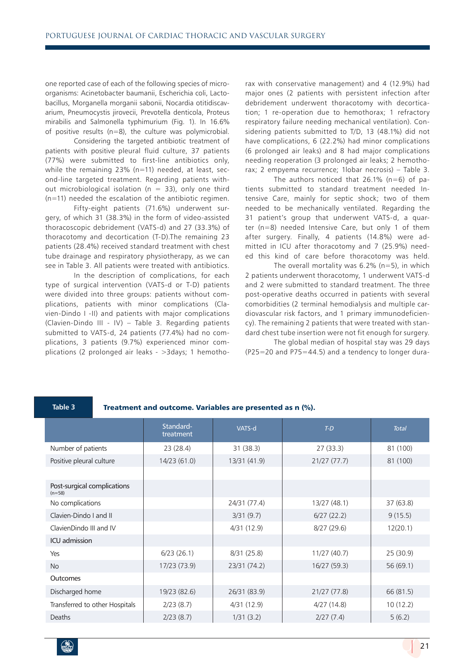one reported case of each of the following species of microorganisms: Acinetobacter baumanii, Escherichia coli, Lactobacillus, Morganella morganii sabonii, Nocardia otitidiscavarium, Pneumocystis jirovecii, Prevotella denticola, Proteus mirabilis and Salmonella typhimurium (Fig. 1). In 16.6% of positive results (n=8), the culture was polymicrobial.

Considering the targeted antibiotic treatment of patients with positive pleural fluid culture, 37 patients (77%) were submitted to first-line antibiotics only, while the remaining 23% (n=11) needed, at least, second-line targeted treatment. Regarding patients without microbiological isolation ( $n = 33$ ), only one third (n=11) needed the escalation of the antibiotic regimen.

Fifty-eight patients (71.6%) underwent surgery, of which 31 (38.3%) in the form of video-assisted thoracoscopic debridement (VATS-d) and 27 (33.3%) of thoracotomy and decortication (T-D).The remaining 23 patients (28.4%) received standard treatment with chest tube drainage and respiratory physiotherapy, as we can see in Table 3. All patients were treated with antibiotics.

In the description of complications, for each type of surgical intervention (VATS-d or T-D) patients were divided into three groups: patients without complications, patients with minor complications (Clavien-Dindo I -II) and patients with major complications (Clavien-Dindo III - IV) – Table 3. Regarding patients submitted to VATS-d, 24 patients (77.4%) had no complications, 3 patients (9.7%) experienced minor complications (2 prolonged air leaks - >3days; 1 hemothorax with conservative management) and 4 (12.9%) had major ones (2 patients with persistent infection after debridement underwent thoracotomy with decortication; 1 re-operation due to hemothorax; 1 refractory respiratory failure needing mechanical ventilation). Considering patients submitted to T/D, 13 (48.1%) did not have complications, 6 (22.2%) had minor complications (6 prolonged air leaks) and 8 had major complications needing reoperation (3 prolonged air leaks; 2 hemothorax; 2 empyema recurrence; 1lobar necrosis) – Table 3.

The authors noticed that 26.1%  $(n=6)$  of patients submitted to standard treatment needed Intensive Care, mainly for septic shock; two of them needed to be mechanically ventilated. Regarding the 31 patient's group that underwent VATS-d, a quarter (n=8) needed Intensive Care, but only 1 of them after surgery. Finally, 4 patients (14.8%) were admitted in ICU after thoracotomy and 7 (25.9%) needed this kind of care before thoracotomy was held.

The overall mortality was  $6.2\%$  (n=5), in which 2 patients underwent thoracotomy, 1 underwent VATS-d and 2 were submitted to standard treatment. The three post-operative deaths occurred in patients with several comorbidities (2 terminal hemodialysis and multiple cardiovascular risk factors, and 1 primary immunodeficiency). The remaining 2 patients that were treated with standard chest tube insertion were not fit enough for surgery.

The global median of hospital stay was 29 days (P25=20 and P75=44.5) and a tendency to longer dura-

#### **Table 3** Treatment and outcome. Variables are presented as n (%).

|                                         | Standard-<br>treatment | VATS-d       | $T-D$        | <b>Total</b> |
|-----------------------------------------|------------------------|--------------|--------------|--------------|
| Number of patients                      | 23(28.4)               | 31(38.3)     | 27(33.3)     | 81 (100)     |
| Positive pleural culture                | 14/23 (61.0)           | 13/31 (41.9) | 21/27(77.7)  | 81 (100)     |
|                                         |                        |              |              |              |
| Post-surgical complications<br>$(n=58)$ |                        |              |              |              |
| No complications                        |                        | 24/31 (77.4) | 13/27 (48.1) | 37 (63.8)    |
| Clavien-Dindo I and II                  |                        | 3/31(9.7)    | 6/27(22.2)   | 9(15.5)      |
| ClavienDindo III and IV                 |                        | 4/31 (12.9)  | 8/27(29.6)   | 12(20.1)     |
| <b>ICU</b> admission                    |                        |              |              |              |
| Yes                                     | 6/23(26.1)             | 8/31 (25.8)  | 11/27 (40.7) | 25(30.9)     |
| <b>No</b>                               | 17/23 (73.9)           | 23/31 (74.2) | 16/27 (59.3) | 56(69.1)     |
| Outcomes                                |                        |              |              |              |
| Discharged home                         | 19/23 (82.6)           | 26/31 (83.9) | 21/27 (77.8) | 66 (81.5)    |
| Transferred to other Hospitals          | 2/23(8.7)              | 4/31 (12.9)  | 4/27(14.8)   | 10(12.2)     |
| Deaths                                  | 2/23(8.7)              | 1/31(3.2)    | 2/27(7.4)    | 5(6.2)       |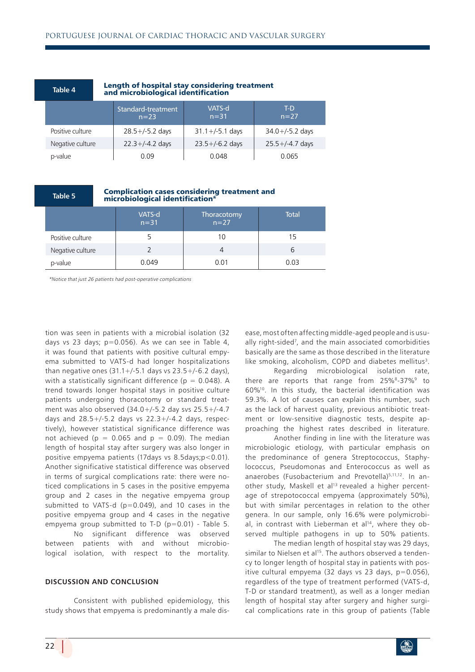|  | Table 4          | Length of hospital stay considering treatment<br>and microbiological identification |                              |                      |                      |
|--|------------------|-------------------------------------------------------------------------------------|------------------------------|----------------------|----------------------|
|  |                  |                                                                                     | Standard-treatment<br>$n=23$ | VATS-d<br>$n = 31$   | T-D<br>$n = 27$      |
|  | Positive culture |                                                                                     | $28.5 +/-5.2$ days           | $31.1 + (-5.1)$ days | $34.0 + (-5.2)$ days |
|  | Negative culture |                                                                                     | $22.3 + (-4.2)$ days         | $23.5 + (-6.2)$ days | $25.5 + (-4.7)$ days |
|  | p-value          |                                                                                     | 0.09                         | 0.048                | 0.065                |

# **Table 5** Complication cases considering treatment and microbiological identification\*

|                  | VATS-d<br>$n=31$ | Thoracotomy<br>$n=27$ | Total |
|------------------|------------------|-----------------------|-------|
| Positive culture | כ                | 10                    | 15    |
| Negative culture |                  |                       | ь     |
| p-value          | 0.049            | 0.01                  | 0.03  |

\*Notice that just 26 patients had post-operative complications

tion was seen in patients with a microbial isolation (32 days vs 23 days;  $p=0.056$ ). As we can see in Table 4, it was found that patients with positive cultural empyema submitted to VATS-d had longer hospitalizations than negative ones  $(31.1 + / -5.1)$  days vs  $23.5 + / -6.2$  days), with a statistically significant difference ( $p = 0.048$ ). A trend towards longer hospital stays in positive culture patients undergoing thoracotomy or standard treatment was also observed (34.0+/-5.2 day svs 25.5+/-4.7 days and  $28.5+/5.2$  days vs  $22.3+/4.2$  days, respectively), however statistical significance difference was not achieved ( $p = 0.065$  and  $p = 0.09$ ). The median length of hospital stay after surgery was also longer in positive empyema patients (17days vs 8.5days;p<0.01). Another significative statistical difference was observed in terms of surgical complications rate: there were noticed complications in 5 cases in the positive empyema group and 2 cases in the negative empyema group submitted to VATS-d  $(p=0.049)$ , and 10 cases in the positive empyema group and 4 cases in the negative empyema group submitted to T-D  $(p=0.01)$  - Table 5. No significant difference was observed between patients with and without microbiological isolation, with respect to the mortality.

#### **DISCUSSION AND CONCLUSION**

Consistent with published epidemiology, this study shows that empyema is predominantly a male disease, most often affecting middle-aged people and is usually right-sided<sup>7</sup>, and the main associated comorbidities basically are the same as those described in the literature like smoking, alcoholism, COPD and diabetes mellitus<sup>3</sup>.

Regarding microbiological isolation rate, there are reports that range from 25%<sup>8</sup>-37%<sup>9</sup> to 60%10. In this study, the bacterial identification was 59.3%. A lot of causes can explain this number, such as the lack of harvest quality, previous antibiotic treatment or low-sensitive diagnostic tests, despite approaching the highest rates described in literature.

Another finding in line with the literature was microbiologic etiology, with particular emphasis on the predominance of genera Streptococcus, Staphylococcus, Pseudomonas and Enterococcus as well as anaerobes (Fusobacterium and Prevotella)<sup>5,11,12</sup>. In another study, Maskell et al<sup>13</sup> revealed a higher percentage of strepotococcal empyema (approximately 50%), but with similar percentages in relation to the other genera. In our sample, only 16.6% were polymicrobial, in contrast with Lieberman et  $al^{14}$ , where they observed multiple pathogens in up to 50% patients.

The median length of hospital stay was 29 days, similar to Nielsen et al<sup>15</sup>. The authors observed a tendency to longer length of hospital stay in patients with positive cultural empyema (32 days vs 23 days,  $p=0.056$ ), regardless of the type of treatment performed (VATS-d, T-D or standard treatment), as well as a longer median length of hospital stay after surgery and higher surgical complications rate in this group of patients (Table